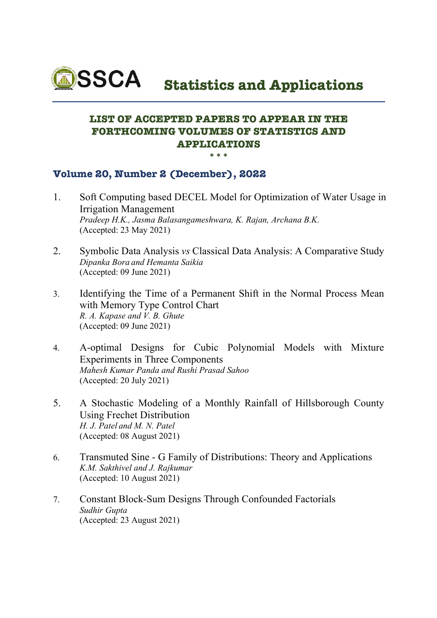

 **Statistics and Applications**

## **LIST OF ACCEPTED PAPERS TO APPEAR IN THE FORTHCOMING VOLUMES OF STATISTICS AND APPLICATIONS \*\*\***

## **Volume 20, Number 2 (December), 2022**

- 1. Soft Computing based DECEL Model for Optimization of Water Usage in Irrigation Management *Pradeep H.K., Jasma Balasangameshwara, K. Rajan, Archana B.K.* (Accepted: 23 May 2021)
- 2. Symbolic Data Analysis *vs* Classical Data Analysis: A Comparative Study *Dipanka Bora and Hemanta Saikia*  (Accepted: 09 June 2021)
- 3. Identifying the Time of a Permanent Shift in the Normal Process Mean with Memory Type Control Chart *R. A. Kapase and V. B. Ghute* (Accepted: 09 June 2021)
- 4. A-optimal Designs for Cubic Polynomial Models with Mixture Experiments in Three Components *Mahesh Kumar Panda and Rushi Prasad Sahoo* (Accepted: 20 July 2021)
- 5. A Stochastic Modeling of a Monthly Rainfall of Hillsborough County Using Frechet Distribution *H. J. Patel and M. N. Patel* (Accepted: 08 August 2021)
- 6. Transmuted Sine G Family of Distributions: Theory and Applications *K.M. Sakthivel and J. Rajkumar*  (Accepted: 10 August 2021)
- 7. Constant Block-Sum Designs Through Confounded Factorials *Sudhir Gupta* (Accepted: 23 August 2021)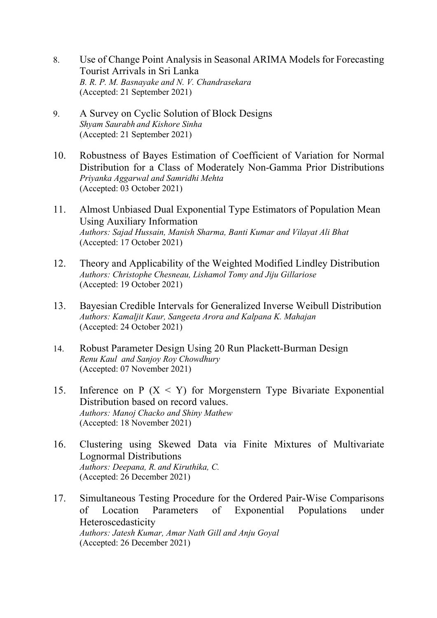- 8. Use of Change Point Analysis in Seasonal ARIMA Models for Forecasting Tourist Arrivals in Sri Lanka *B. R. P. M. Basnayake and N. V. Chandrasekara* (Accepted: 21 September 2021)
- 9. A Survey on Cyclic Solution of Block Designs *Shyam Saurabh and Kishore Sinha* (Accepted: 21 September 2021)
- 10. Robustness of Bayes Estimation of Coefficient of Variation for Normal Distribution for a Class of Moderately Non-Gamma Prior Distributions *Priyanka Aggarwal and Samridhi Mehta* (Accepted: 03 October 2021)
- 11. Almost Unbiased Dual Exponential Type Estimators of Population Mean Using Auxiliary Information *Authors: Sajad Hussain, Manish Sharma, Banti Kumar and Vilayat Ali Bhat*  (Accepted: 17 October 2021)
- 12. Theory and Applicability of the Weighted Modified Lindley Distribution *Authors: Christophe Chesneau, Lishamol Tomy and Jiju Gillariose* (Accepted: 19 October 2021)
- 13. Bayesian Credible Intervals for Generalized Inverse Weibull Distribution *Authors: Kamaljit Kaur, Sangeeta Arora and Kalpana K. Mahajan* (Accepted: 24 October 2021)
- 14. Robust Parameter Design Using 20 Run Plackett-Burman Design *Renu Kaul and Sanjoy Roy Chowdhury* (Accepted: 07 November 2021)
- 15. Inference on  $P(X \le Y)$  for Morgenstern Type Bivariate Exponential Distribution based on record values. *Authors: Manoj Chacko and Shiny Mathew* (Accepted: 18 November 2021)
- 16. Clustering using Skewed Data via Finite Mixtures of Multivariate Lognormal Distributions *Authors: Deepana, R. and Kiruthika, C.* (Accepted: 26 December 2021)
- 17. Simultaneous Testing Procedure for the Ordered Pair-Wise Comparisons of Location Parameters of Exponential Populations under Heteroscedasticity *Authors: Jatesh Kumar, Amar Nath Gill and Anju Goyal* (Accepted: 26 December 2021)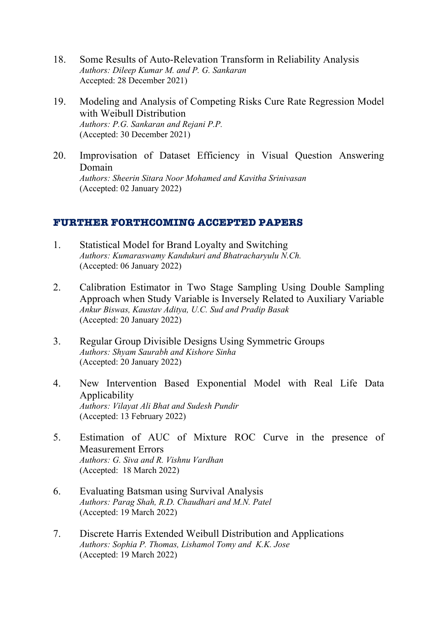- 18. Some Results of Auto-Relevation Transform in Reliability Analysis *Authors: Dileep Kumar M. and P. G. Sankaran* Accepted: 28 December 2021)
- 19. Modeling and Analysis of Competing Risks Cure Rate Regression Model with Weibull Distribution *Authors: P.G. Sankaran and Rejani P.P.* (Accepted: 30 December 2021)
- 20. Improvisation of Dataset Efficiency in Visual Question Answering Domain *Authors: Sheerin Sitara Noor Mohamed and Kavitha Srinivasan*  (Accepted: 02 January 2022)

## **FURTHER FORTHCOMING ACCEPTED PAPERS**

- 1. Statistical Model for Brand Loyalty and Switching *Authors: Kumaraswamy Kandukuri and Bhatracharyulu N.Ch.* (Accepted: 06 January 2022)
- 2. Calibration Estimator in Two Stage Sampling Using Double Sampling Approach when Study Variable is Inversely Related to Auxiliary Variable *Ankur Biswas, Kaustav Aditya, U.C. Sud and Pradip Basak* (Accepted: 20 January 2022)
- 3. Regular Group Divisible Designs Using Symmetric Groups *Authors: Shyam Saurabh and Kishore Sinha* (Accepted: 20 January 2022)
- 4. New Intervention Based Exponential Model with Real Life Data Applicability *Authors: Vilayat Ali Bhat and Sudesh Pundir* (Accepted: 13 February 2022)
- 5. Estimation of AUC of Mixture ROC Curve in the presence of Measurement Errors *Authors: G. Siva and R. Vishnu Vardhan*  (Accepted: 18 March 2022)
- 6. Evaluating Batsman using Survival Analysis *Authors: Parag Shah, R.D. Chaudhari and M.N. Patel*  (Accepted: 19 March 2022)
- 7. Discrete Harris Extended Weibull Distribution and Applications *Authors: Sophia P. Thomas, Lishamol Tomy and K.K. Jose*  (Accepted: 19 March 2022)